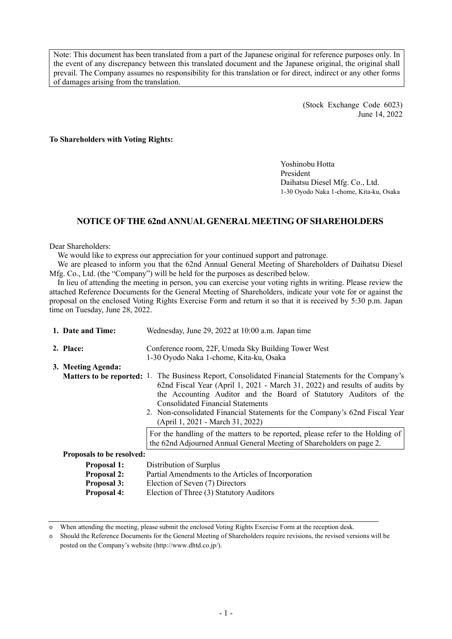Note: This document has been translated from a part of the Japanese original for reference purposes only. In the event of any discrepancy between this translated document and the Japanese original, the original shall prevail. The Company assumes no responsibility for this translation or for direct, indirect or any other forms of damages arising from the translation.

> (Stock Exchange Code 6023) June 14, 2022

### **To Shareholders with Voting Rights:**

Yoshinobu Hotta President Daihatsu Diesel Mfg. Co., Ltd. 1-30 Oyodo Naka 1-chome, Kita-ku, Osaka

# **NOTICE OFTHE 62nd ANNUALGENERALMEETING OFSHAREHOLDERS**

### Dear Shareholders:

We would like to express our appreciation for your continued support and patronage.

We are pleased to inform you that the 62nd Annual General Meeting of Shareholders of Daihatsu Diesel Mfg. Co., Ltd. (the "Company") will be held for the purposes as described below.

In lieu of attending the meeting in person, you can exercise your voting rights in writing. Please review the attached Reference Documents for the General Meeting of Shareholders, indicate your vote for or against the proposal on the enclosed Voting Rights Exercise Form and return it so that it is received by 5:30 p.m. Japan time on Tuesday, June 28, 2022.

| 1. Date and Time:         | Wednesday, June 29, 2022 at 10:00 a.m. Japan time                                                                                                                                                                                                                                                                                                                                                                     |  |  |  |  |
|---------------------------|-----------------------------------------------------------------------------------------------------------------------------------------------------------------------------------------------------------------------------------------------------------------------------------------------------------------------------------------------------------------------------------------------------------------------|--|--|--|--|
| 2. Place:                 | Conference room, 22F, Umeda Sky Building Tower West                                                                                                                                                                                                                                                                                                                                                                   |  |  |  |  |
|                           | 1-30 Oyodo Naka 1-chome, Kita-ku, Osaka                                                                                                                                                                                                                                                                                                                                                                               |  |  |  |  |
| 3. Meeting Agenda:        | <b>Matters to be reported:</b> 1. The Business Report, Consolidated Financial Statements for the Company's<br>62nd Fiscal Year (April 1, 2021 - March 31, 2022) and results of audits by<br>the Accounting Auditor and the Board of Statutory Auditors of the<br>Consolidated Financial Statements<br>2. Non-consolidated Financial Statements for the Company's 62nd Fiscal Year<br>(April 1, 2021 - March 31, 2022) |  |  |  |  |
|                           | For the handling of the matters to be reported, please refer to the Holding of<br>the 62nd Adjourned Annual General Meeting of Shareholders on page 2.                                                                                                                                                                                                                                                                |  |  |  |  |
| Proposals to be resolved: |                                                                                                                                                                                                                                                                                                                                                                                                                       |  |  |  |  |
| <b>Proposal 1:</b>        | Distribution of Surplus                                                                                                                                                                                                                                                                                                                                                                                               |  |  |  |  |
| <b>Proposal 2:</b>        | Partial Amendments to the Articles of Incorporation                                                                                                                                                                                                                                                                                                                                                                   |  |  |  |  |
| <b>Proposal 3:</b>        | Election of Seven (7) Directors                                                                                                                                                                                                                                                                                                                                                                                       |  |  |  |  |
| <b>Proposal 4:</b>        | Election of Three (3) Statutory Auditors                                                                                                                                                                                                                                                                                                                                                                              |  |  |  |  |

<sup>◎</sup> When attending the meeting, please submit the enclosed Voting Rights Exercise Form at the reception desk.

<sup>◎</sup> Should the Reference Documents for the General Meeting of Shareholders require revisions, the revised versions will be posted on the Company's website (http://www.dhtd.co.jp/).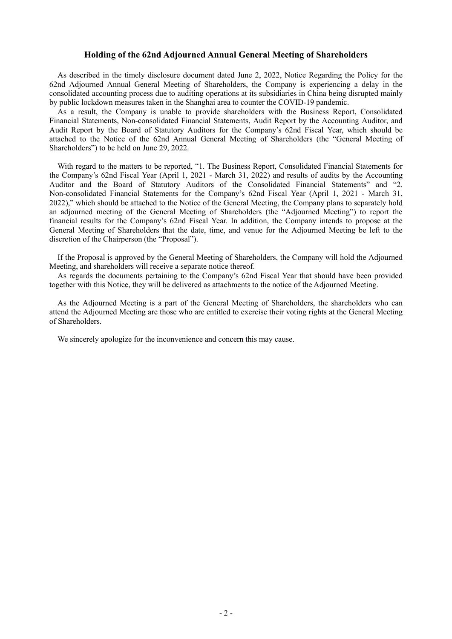## **Holding of the 62nd Adjourned Annual General Meeting of Shareholders**

As described in the timely disclosure document dated June 2, 2022, Notice Regarding the Policy for the 62nd Adjourned Annual General Meeting of Shareholders, the Company is experiencing a delay in the consolidated accounting process due to auditing operations at its subsidiaries in China being disrupted mainly by public lockdown measures taken in the Shanghai area to counter the COVID-19 pandemic.

As a result, the Company is unable to provide shareholders with the Business Report, Consolidated Financial Statements, Non-consolidated Financial Statements, Audit Report by the Accounting Auditor, and Audit Report by the Board of Statutory Auditors for the Company's 62nd Fiscal Year, which should be attached to the Notice of the 62nd Annual General Meeting of Shareholders (the "General Meeting of Shareholders") to be held on June 29, 2022.

With regard to the matters to be reported, "1. The Business Report, Consolidated Financial Statements for the Company's 62nd Fiscal Year (April 1, 2021 - March 31, 2022) and results of audits by the Accounting Auditor and the Board of Statutory Auditors of the Consolidated Financial Statements" and "2. Non-consolidated Financial Statements for the Company's 62nd Fiscal Year (April 1, 2021 - March 31, 2022)," which should be attached to the Notice of the General Meeting, the Company plans to separately hold an adjourned meeting of the General Meeting of Shareholders (the "Adjourned Meeting") to report the financial results for the Company's 62nd Fiscal Year. In addition, the Company intends to propose at the General Meeting of Shareholders that the date, time, and venue for the Adjourned Meeting be left to the discretion of the Chairperson (the "Proposal").

If the Proposal is approved by the General Meeting of Shareholders, the Company will hold the Adjourned Meeting, and shareholders will receive a separate notice thereof.

As regards the documents pertaining to the Company's 62nd Fiscal Year that should have been provided together with this Notice, they will be delivered as attachments to the notice of the Adjourned Meeting.

As the Adjourned Meeting is a part of the General Meeting of Shareholders, the shareholders who can attend the Adjourned Meeting are those who are entitled to exercise their voting rights at the General Meeting of Shareholders.

We sincerely apologize for the inconvenience and concern this may cause.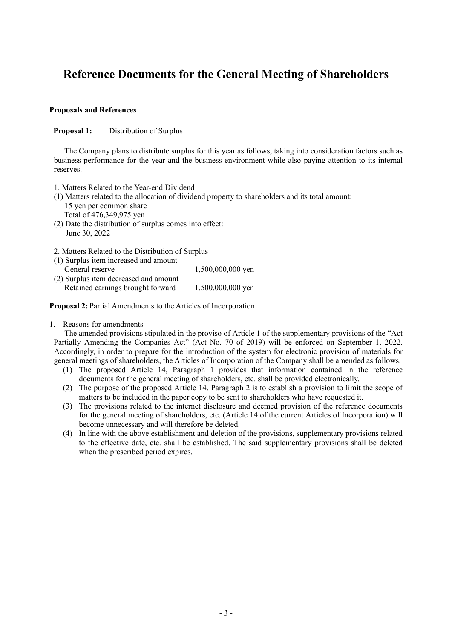# **Reference Documents for the General Meeting of Shareholders**

# **Proposals and References**

**Proposal 1:** Distribution of Surplus

The Company plans to distribute surplus for this year as follows, taking into consideration factors such as business performance for the year and the business environment while also paying attention to its internal reserves.

- 1. Matters Related to the Year-end Dividend
- (1) Matters related to the allocation of dividend property to shareholders and its total amount: 15 yen per common share
	- Total of 476,349,975 yen
- (2) Date the distribution of surplus comes into effect: June 30, 2022
- 2. Matters Related to the Distribution of Surplus

| (1) Surplus item increased and amount |                     |
|---------------------------------------|---------------------|
| General reserve                       | $1,500,000,000$ yen |
| (2) Surplus item decreased and amount |                     |
| Retained earnings brought forward     | 1,500,000,000 yen   |

**Proposal 2:** Partial Amendments to the Articles of Incorporation

1. Reasons for amendments

The amended provisions stipulated in the proviso of Article 1 of the supplementary provisions of the "Act Partially Amending the Companies Act" (Act No. 70 of 2019) will be enforced on September 1, 2022. Accordingly, in order to prepare for the introduction of the system for electronic provision of materials for general meetings of shareholders, the Articles of Incorporation of the Company shall be amended as follows.

- (1) The proposed Article 14, Paragraph 1 provides that information contained in the reference documents for the general meeting of shareholders, etc. shall be provided electronically.
- (2) The purpose of the proposed Article 14, Paragraph 2 is to establish a provision to limit the scope of matters to be included in the paper copy to be sent to shareholders who have requested it.
- (3) The provisions related to the internet disclosure and deemed provision of the reference documents for the general meeting of shareholders, etc. (Article 14 of the current Articles of Incorporation) will become unnecessary and will therefore be deleted.
- (4) In line with the above establishment and deletion of the provisions, supplementary provisions related to the effective date, etc. shall be established. The said supplementary provisions shall be deleted when the prescribed period expires.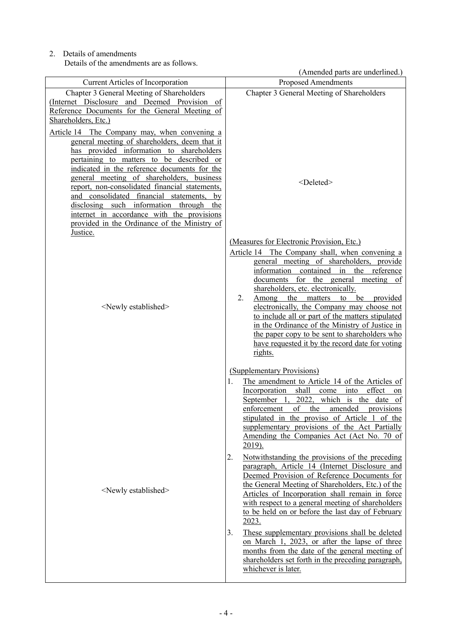2. Details of amendments Details of the amendments are as follows.

|                                                                                                                                                                                                                                                                                                                                                                                                                                                | (Amended parts are underlined.)                                                                                                                                                                                                                                                                                                                                                                                                                                                                                                                                                                                                                                                                                                                                                                                                                                                                                                                                                                                   |
|------------------------------------------------------------------------------------------------------------------------------------------------------------------------------------------------------------------------------------------------------------------------------------------------------------------------------------------------------------------------------------------------------------------------------------------------|-------------------------------------------------------------------------------------------------------------------------------------------------------------------------------------------------------------------------------------------------------------------------------------------------------------------------------------------------------------------------------------------------------------------------------------------------------------------------------------------------------------------------------------------------------------------------------------------------------------------------------------------------------------------------------------------------------------------------------------------------------------------------------------------------------------------------------------------------------------------------------------------------------------------------------------------------------------------------------------------------------------------|
| <b>Current Articles of Incorporation</b>                                                                                                                                                                                                                                                                                                                                                                                                       | Proposed Amendments                                                                                                                                                                                                                                                                                                                                                                                                                                                                                                                                                                                                                                                                                                                                                                                                                                                                                                                                                                                               |
| Chapter 3 General Meeting of Shareholders<br>(Internet Disclosure and Deemed Provision of<br>Reference Documents for the General Meeting of<br>Shareholders, Etc.)<br>Article 14 The Company may, when convening a<br>general meeting of shareholders, deem that it                                                                                                                                                                            | Chapter 3 General Meeting of Shareholders                                                                                                                                                                                                                                                                                                                                                                                                                                                                                                                                                                                                                                                                                                                                                                                                                                                                                                                                                                         |
| provided information to shareholders<br>has<br>pertaining to matters to be described or<br>indicated in the reference documents for the<br>general meeting of shareholders, business<br>report, non-consolidated financial statements,<br>and consolidated financial statements,<br>by<br>disclosing such information through<br>the<br>internet in accordance with the provisions<br>provided in the Ordinance of the Ministry of<br>Justice. | <deleted></deleted>                                                                                                                                                                                                                                                                                                                                                                                                                                                                                                                                                                                                                                                                                                                                                                                                                                                                                                                                                                                               |
| <newly established=""></newly>                                                                                                                                                                                                                                                                                                                                                                                                                 | (Measures for Electronic Provision, Etc.)<br>Article 14 The Company shall, when convening a<br>general meeting of shareholders, provide<br>information contained in the reference<br>documents for the general meeting of<br>shareholders, etc. electronically.<br>2.<br>Among the matters to be provided<br>electronically, the Company may choose not<br>to include all or part of the matters stipulated<br>in the Ordinance of the Ministry of Justice in<br>the paper copy to be sent to shareholders who<br>have requested it by the record date for voting<br>rights.                                                                                                                                                                                                                                                                                                                                                                                                                                      |
| <newly established=""></newly>                                                                                                                                                                                                                                                                                                                                                                                                                 | (Supplementary Provisions)<br>The amendment to Article 14 of the Articles of<br>1.<br>Incorporation shall come into effect<br>on<br>September 1, 2022, which is the date of<br>enforcement of the amended provisions<br>stipulated in the proviso of Article 1 of the<br>supplementary provisions of the Act Partially<br>Amending the Companies Act (Act No. 70 of<br><u>2019).</u><br>2.<br>Notwithstanding the provisions of the preceding<br>paragraph, Article 14 (Internet Disclosure and<br>Deemed Provision of Reference Documents for<br>the General Meeting of Shareholders, Etc.) of the<br>Articles of Incorporation shall remain in force<br>with respect to a general meeting of shareholders<br>to be held on or before the last day of February<br>2023.<br>3.<br>These supplementary provisions shall be deleted<br>on March 1, 2023, or after the lapse of three<br>months from the date of the general meeting of<br>shareholders set forth in the preceding paragraph,<br>whichever is later. |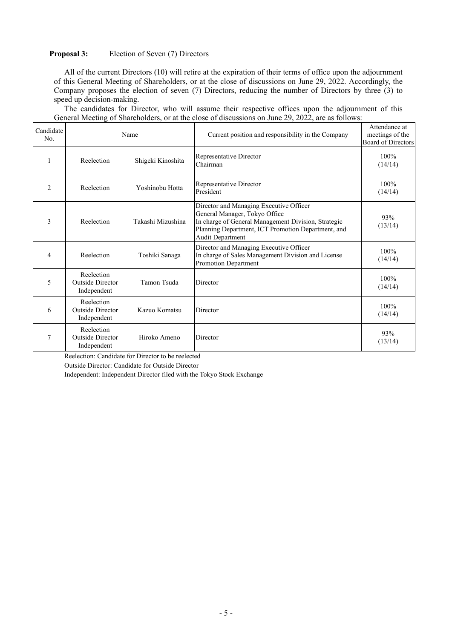# **Proposal 3:** Election of Seven (7) Directors

All of the current Directors (10) will retire at the expiration of their terms of office upon the adjournment of this General Meeting of Shareholders, or at the close of discussions on June 29, 2022. Accordingly, the Company proposes the election of seven (7) Directors, reducing the number of Directors by three (3) to speed up decision-making.

The candidates for Director, who will assume their respective offices upon the adjournment of this General Meeting of Shareholders, or at the close of discussions on June 29, 2022, are as follows:

| Candidate<br>No. | Name                                          |                   | Current position and responsibility in the Company                                                                                                                                                               | Attendance at<br>meetings of the<br>Board of Directors |
|------------------|-----------------------------------------------|-------------------|------------------------------------------------------------------------------------------------------------------------------------------------------------------------------------------------------------------|--------------------------------------------------------|
|                  | Reelection                                    | Shigeki Kinoshita | Representative Director<br>Chairman                                                                                                                                                                              | 100%<br>(14/14)                                        |
| $\overline{2}$   | Reelection                                    | Yoshinobu Hotta   | Representative Director<br>President                                                                                                                                                                             | 100%<br>(14/14)                                        |
| 3                | Reelection                                    | Takashi Mizushina | Director and Managing Executive Officer<br>General Manager, Tokyo Office<br>In charge of General Management Division, Strategic<br>Planning Department, ICT Promotion Department, and<br><b>Audit Department</b> | 93%<br>(13/14)                                         |
| $\overline{4}$   | Reelection                                    | Toshiki Sanaga    | Director and Managing Executive Officer<br>In charge of Sales Management Division and License<br>Promotion Department                                                                                            | 100%<br>(14/14)                                        |
| 5                | Reelection<br>Outside Director<br>Independent | Tamon Tsuda       | Director                                                                                                                                                                                                         | 100%<br>(14/14)                                        |
| 6                | Reelection<br>Outside Director<br>Independent | Kazuo Komatsu     | Director                                                                                                                                                                                                         | 100%<br>(14/14)                                        |
| $\overline{7}$   | Reelection<br>Outside Director<br>Independent | Hiroko Ameno      | Director                                                                                                                                                                                                         | 93%<br>(13/14)                                         |

Reelection: Candidate for Director to be reelected

Outside Director: Candidate for Outside Director

Independent: Independent Director filed with the Tokyo Stock Exchange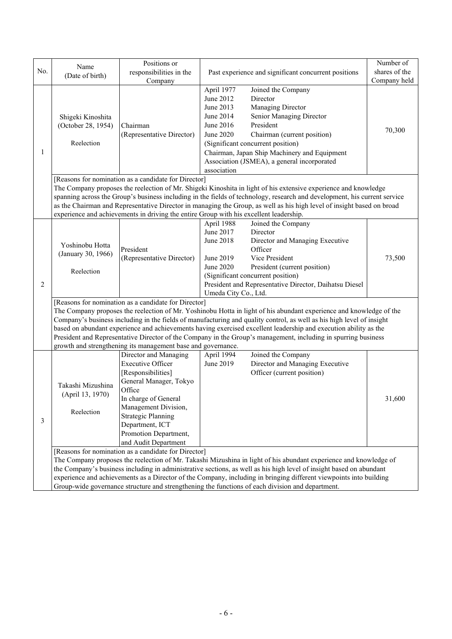|                |                                                                                                                                                                                                                                                                                                                                                                                                                                                                                                                                                                                                            | Positions or                                                                                                                                                                                                |                                                                                            |                                                                                                                                                                                                                                                                 | Number of     |  |
|----------------|------------------------------------------------------------------------------------------------------------------------------------------------------------------------------------------------------------------------------------------------------------------------------------------------------------------------------------------------------------------------------------------------------------------------------------------------------------------------------------------------------------------------------------------------------------------------------------------------------------|-------------------------------------------------------------------------------------------------------------------------------------------------------------------------------------------------------------|--------------------------------------------------------------------------------------------|-----------------------------------------------------------------------------------------------------------------------------------------------------------------------------------------------------------------------------------------------------------------|---------------|--|
| No.            | Name                                                                                                                                                                                                                                                                                                                                                                                                                                                                                                                                                                                                       |                                                                                                                                                                                                             | responsibilities in the<br>Past experience and significant concurrent positions            |                                                                                                                                                                                                                                                                 | shares of the |  |
|                | (Date of birth)                                                                                                                                                                                                                                                                                                                                                                                                                                                                                                                                                                                            | Company                                                                                                                                                                                                     |                                                                                            |                                                                                                                                                                                                                                                                 | Company held  |  |
| 1              | Shigeki Kinoshita<br>(October 28, 1954)<br>Reelection                                                                                                                                                                                                                                                                                                                                                                                                                                                                                                                                                      | Chairman<br>(Representative Director)                                                                                                                                                                       | April 1977<br>June 2012<br>June 2013<br>June 2014<br>June 2016<br>June 2020<br>association | Joined the Company<br>Director<br>Managing Director<br>Senior Managing Director<br>President<br>Chairman (current position)<br>(Significant concurrent position)<br>Chairman, Japan Ship Machinery and Equipment<br>Association (JSMEA), a general incorporated | 70,300        |  |
|                |                                                                                                                                                                                                                                                                                                                                                                                                                                                                                                                                                                                                            | [Reasons for nomination as a candidate for Director]                                                                                                                                                        |                                                                                            |                                                                                                                                                                                                                                                                 |               |  |
|                | The Company proposes the reelection of Mr. Shigeki Kinoshita in light of his extensive experience and knowledge<br>spanning across the Group's business including in the fields of technology, research and development, his current service<br>as the Chairman and Representative Director in managing the Group, as well as his high level of insight based on broad<br>experience and achievements in driving the entire Group with his excellent leadership.                                                                                                                                           |                                                                                                                                                                                                             |                                                                                            |                                                                                                                                                                                                                                                                 |               |  |
|                |                                                                                                                                                                                                                                                                                                                                                                                                                                                                                                                                                                                                            |                                                                                                                                                                                                             | April 1988                                                                                 | Joined the Company                                                                                                                                                                                                                                              |               |  |
|                | Yoshinobu Hotta<br>(January 30, 1966)                                                                                                                                                                                                                                                                                                                                                                                                                                                                                                                                                                      | President<br>(Representative Director)                                                                                                                                                                      | June 2017<br><b>June 2018</b><br>June 2019                                                 | Director<br>Director and Managing Executive<br>Officer<br>Vice President                                                                                                                                                                                        | 73,500        |  |
|                | Reelection                                                                                                                                                                                                                                                                                                                                                                                                                                                                                                                                                                                                 |                                                                                                                                                                                                             | June 2020                                                                                  | President (current position)<br>(Significant concurrent position)                                                                                                                                                                                               |               |  |
| $\overline{c}$ |                                                                                                                                                                                                                                                                                                                                                                                                                                                                                                                                                                                                            |                                                                                                                                                                                                             | Umeda City Co., Ltd.                                                                       | President and Representative Director, Daihatsu Diesel                                                                                                                                                                                                          |               |  |
|                | [Reasons for nomination as a candidate for Director]<br>The Company proposes the reelection of Mr. Yoshinobu Hotta in light of his abundant experience and knowledge of the<br>Company's business including in the fields of manufacturing and quality control, as well as his high level of insight<br>based on abundant experience and achievements having exercised excellent leadership and execution ability as the<br>President and Representative Director of the Company in the Group's management, including in spurring business<br>growth and strengthening its management base and governance. |                                                                                                                                                                                                             |                                                                                            |                                                                                                                                                                                                                                                                 |               |  |
|                |                                                                                                                                                                                                                                                                                                                                                                                                                                                                                                                                                                                                            | Director and Managing                                                                                                                                                                                       | April 1994                                                                                 | Joined the Company                                                                                                                                                                                                                                              |               |  |
| 3              | Takashi Mizushina<br>(April 13, 1970)<br>Reelection                                                                                                                                                                                                                                                                                                                                                                                                                                                                                                                                                        | <b>Executive Officer</b><br>[Responsibilities]<br>General Manager, Tokyo<br>Office<br>In charge of General<br>Management Division,<br><b>Strategic Planning</b><br>Department, ICT<br>Promotion Department, | June 2019                                                                                  | Director and Managing Executive<br>Officer (current position)                                                                                                                                                                                                   | 31,600        |  |
|                |                                                                                                                                                                                                                                                                                                                                                                                                                                                                                                                                                                                                            | and Audit Department                                                                                                                                                                                        |                                                                                            |                                                                                                                                                                                                                                                                 |               |  |
|                | [Reasons for nomination as a candidate for Director]<br>The Company proposes the reelection of Mr. Takashi Mizushina in light of his abundant experience and knowledge of<br>the Company's business including in administrative sections, as well as his high level of insight based on abundant<br>experience and achievements as a Director of the Company, including in bringing different viewpoints into building<br>Group-wide governance structure and strengthening the functions of each division and department.                                                                                 |                                                                                                                                                                                                             |                                                                                            |                                                                                                                                                                                                                                                                 |               |  |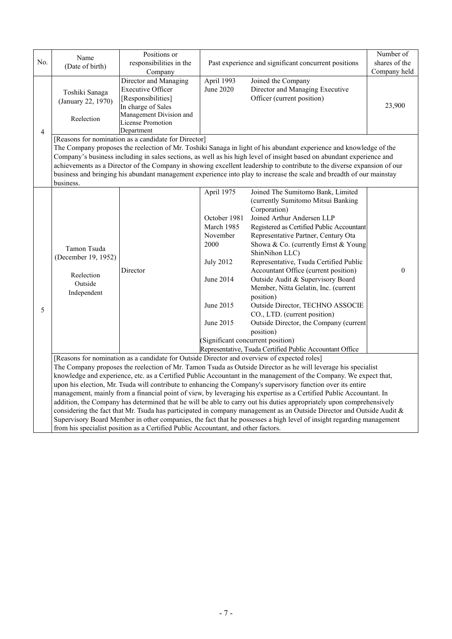| No.            | Name<br>(Date of birth)                                                                                                                                                                                                                                                                                                                                                                                                                                                                                                                                                                                                                                                                                                                                                                                                                                                                                                                                                                                                                | Positions or<br>responsibilities in the<br>Company                                                                                                          |                                                                                                                         | Past experience and significant concurrent positions                                                                                                                                                                                                                                                                                                                                                                                                                                                                                                                                                                                                                        | Number of<br>shares of the<br>Company held |  |  |
|----------------|----------------------------------------------------------------------------------------------------------------------------------------------------------------------------------------------------------------------------------------------------------------------------------------------------------------------------------------------------------------------------------------------------------------------------------------------------------------------------------------------------------------------------------------------------------------------------------------------------------------------------------------------------------------------------------------------------------------------------------------------------------------------------------------------------------------------------------------------------------------------------------------------------------------------------------------------------------------------------------------------------------------------------------------|-------------------------------------------------------------------------------------------------------------------------------------------------------------|-------------------------------------------------------------------------------------------------------------------------|-----------------------------------------------------------------------------------------------------------------------------------------------------------------------------------------------------------------------------------------------------------------------------------------------------------------------------------------------------------------------------------------------------------------------------------------------------------------------------------------------------------------------------------------------------------------------------------------------------------------------------------------------------------------------------|--------------------------------------------|--|--|
| $\overline{4}$ | Toshiki Sanaga<br>(January 22, 1970)<br>Reelection                                                                                                                                                                                                                                                                                                                                                                                                                                                                                                                                                                                                                                                                                                                                                                                                                                                                                                                                                                                     | Director and Managing<br><b>Executive Officer</b><br>[Responsibilities]<br>In charge of Sales<br>Management Division and<br>License Promotion<br>Department | April 1993<br>June 2020                                                                                                 | Joined the Company<br>Director and Managing Executive<br>Officer (current position)                                                                                                                                                                                                                                                                                                                                                                                                                                                                                                                                                                                         | 23,900                                     |  |  |
|                | [Reasons for nomination as a candidate for Director]<br>The Company proposes the reelection of Mr. Toshiki Sanaga in light of his abundant experience and knowledge of the<br>Company's business including in sales sections, as well as his high level of insight based on abundant experience and<br>achievements as a Director of the Company in showing excellent leadership to contribute to the diverse expansion of our<br>business and bringing his abundant management experience into play to increase the scale and breadth of our mainstay<br>business.                                                                                                                                                                                                                                                                                                                                                                                                                                                                    |                                                                                                                                                             |                                                                                                                         |                                                                                                                                                                                                                                                                                                                                                                                                                                                                                                                                                                                                                                                                             |                                            |  |  |
| 5              | Tamon Tsuda<br>(December 19, 1952)<br>Reelection<br>Outside<br>Independent                                                                                                                                                                                                                                                                                                                                                                                                                                                                                                                                                                                                                                                                                                                                                                                                                                                                                                                                                             | Director                                                                                                                                                    | April 1975<br>October 1981<br>March 1985<br>November<br>2000<br><b>July 2012</b><br>June 2014<br>June 2015<br>June 2015 | Joined The Sumitomo Bank, Limited<br>(currently Sumitomo Mitsui Banking<br>Corporation)<br>Joined Arthur Andersen LLP<br>Registered as Certified Public Accountant<br>Representative Partner, Century Ota<br>Showa & Co. (currently Ernst & Young<br>ShinNihon LLC)<br>Representative, Tsuda Certified Public<br>Accountant Office (current position)<br>Outside Audit & Supervisory Board<br>Member, Nitta Gelatin, Inc. (current<br>position)<br>Outside Director, TECHNO ASSOCIE<br>CO., LTD. (current position)<br>Outside Director, the Company (current<br>position)<br>(Significant concurrent position)<br>Representative, Tsuda Certified Public Accountant Office | $\mathbf{0}$                               |  |  |
|                | [Reasons for nomination as a candidate for Outside Director and overview of expected roles]<br>The Company proposes the reelection of Mr. Tamon Tsuda as Outside Director as he will leverage his specialist<br>knowledge and experience, etc. as a Certified Public Accountant in the management of the Company. We expect that,<br>upon his election, Mr. Tsuda will contribute to enhancing the Company's supervisory function over its entire<br>management, mainly from a financial point of view, by leveraging his expertise as a Certified Public Accountant. In<br>addition, the Company has determined that he will be able to carry out his duties appropriately upon comprehensively<br>considering the fact that Mr. Tsuda has participated in company management as an Outside Director and Outside Audit &<br>Supervisory Board Member in other companies, the fact that he possesses a high level of insight regarding management<br>from his specialist position as a Certified Public Accountant, and other factors. |                                                                                                                                                             |                                                                                                                         |                                                                                                                                                                                                                                                                                                                                                                                                                                                                                                                                                                                                                                                                             |                                            |  |  |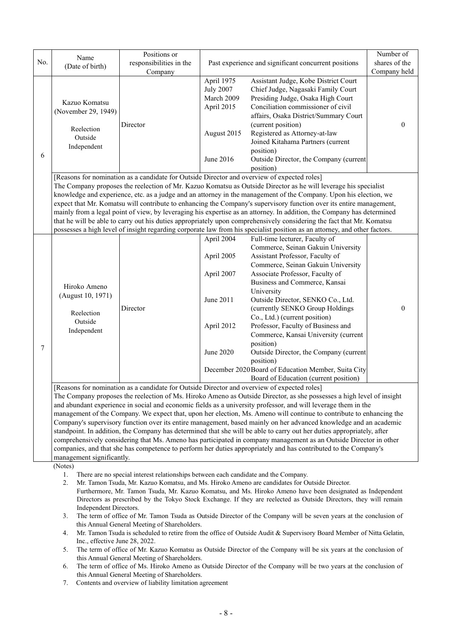|     |                                                                                                                                                                                                                                                                                                                                                                                                                                                                                                                                                                                                                                                                                                                                                                                                                                                                                                                                                                                                                                                                                                                                                                                                                                                                                                                                                                                                                                                                                                                                                                                          | Positions or                                 |                                                                                        |                                                                                                                                                                                                                                                                                                                                                                                                                                                                                                                                                          | Number of     |  |  |
|-----|------------------------------------------------------------------------------------------------------------------------------------------------------------------------------------------------------------------------------------------------------------------------------------------------------------------------------------------------------------------------------------------------------------------------------------------------------------------------------------------------------------------------------------------------------------------------------------------------------------------------------------------------------------------------------------------------------------------------------------------------------------------------------------------------------------------------------------------------------------------------------------------------------------------------------------------------------------------------------------------------------------------------------------------------------------------------------------------------------------------------------------------------------------------------------------------------------------------------------------------------------------------------------------------------------------------------------------------------------------------------------------------------------------------------------------------------------------------------------------------------------------------------------------------------------------------------------------------|----------------------------------------------|----------------------------------------------------------------------------------------|----------------------------------------------------------------------------------------------------------------------------------------------------------------------------------------------------------------------------------------------------------------------------------------------------------------------------------------------------------------------------------------------------------------------------------------------------------------------------------------------------------------------------------------------------------|---------------|--|--|
| No. | Name                                                                                                                                                                                                                                                                                                                                                                                                                                                                                                                                                                                                                                                                                                                                                                                                                                                                                                                                                                                                                                                                                                                                                                                                                                                                                                                                                                                                                                                                                                                                                                                     | responsibilities in the                      | Past experience and significant concurrent positions                                   |                                                                                                                                                                                                                                                                                                                                                                                                                                                                                                                                                          | shares of the |  |  |
|     | (Date of birth)                                                                                                                                                                                                                                                                                                                                                                                                                                                                                                                                                                                                                                                                                                                                                                                                                                                                                                                                                                                                                                                                                                                                                                                                                                                                                                                                                                                                                                                                                                                                                                          | Company                                      |                                                                                        |                                                                                                                                                                                                                                                                                                                                                                                                                                                                                                                                                          | Company held  |  |  |
| 6   | Kazuo Komatsu<br>(November 29, 1949)<br>Reelection<br>Outside<br>Independent                                                                                                                                                                                                                                                                                                                                                                                                                                                                                                                                                                                                                                                                                                                                                                                                                                                                                                                                                                                                                                                                                                                                                                                                                                                                                                                                                                                                                                                                                                             | Director                                     | April 1975<br><b>July 2007</b><br>March 2009<br>April 2015<br>August 2015<br>June 2016 | Assistant Judge, Kobe District Court<br>Chief Judge, Nagasaki Family Court<br>Presiding Judge, Osaka High Court<br>Conciliation commissioner of civil<br>affairs, Osaka District/Summary Court<br>(current position)<br>Registered as Attorney-at-law<br>Joined Kitahama Partners (current<br>position)<br>Outside Director, the Company (current                                                                                                                                                                                                        | $\theta$      |  |  |
|     | position)<br>[Reasons for nomination as a candidate for Outside Director and overview of expected roles]<br>The Company proposes the reelection of Mr. Kazuo Komatsu as Outside Director as he will leverage his specialist<br>knowledge and experience, etc. as a judge and an attorney in the management of the Company. Upon his election, we<br>expect that Mr. Komatsu will contribute to enhancing the Company's supervisory function over its entire management,<br>mainly from a legal point of view, by leveraging his expertise as an attorney. In addition, the Company has determined<br>that he will be able to carry out his duties appropriately upon comprehensively considering the fact that Mr. Komatsu<br>possesses a high level of insight regarding corporate law from his specialist position as an attorney, and other factors.                                                                                                                                                                                                                                                                                                                                                                                                                                                                                                                                                                                                                                                                                                                                  |                                              |                                                                                        |                                                                                                                                                                                                                                                                                                                                                                                                                                                                                                                                                          |               |  |  |
|     |                                                                                                                                                                                                                                                                                                                                                                                                                                                                                                                                                                                                                                                                                                                                                                                                                                                                                                                                                                                                                                                                                                                                                                                                                                                                                                                                                                                                                                                                                                                                                                                          |                                              | April 2004                                                                             | Full-time lecturer, Faculty of                                                                                                                                                                                                                                                                                                                                                                                                                                                                                                                           |               |  |  |
| 7   | Hiroko Ameno<br>(August 10, 1971)<br>Reelection<br>Outside<br>Independent                                                                                                                                                                                                                                                                                                                                                                                                                                                                                                                                                                                                                                                                                                                                                                                                                                                                                                                                                                                                                                                                                                                                                                                                                                                                                                                                                                                                                                                                                                                | Director                                     | April 2005<br>April 2007<br>June 2011<br>April 2012<br>June 2020                       | Commerce, Seinan Gakuin University<br>Assistant Professor, Faculty of<br>Commerce, Seinan Gakuin University<br>Associate Professor, Faculty of<br>Business and Commerce, Kansai<br>University<br>Outside Director, SENKO Co., Ltd.<br>(currently SENKO Group Holdings<br>Co., Ltd.) (current position)<br>Professor, Faculty of Business and<br>Commerce, Kansai University (current<br>position)<br>Outside Director, the Company (current<br>position)<br>December 2020 Board of Education Member, Suita City<br>Board of Education (current position) | $\mathbf{0}$  |  |  |
|     | [Reasons for nomination as a candidate for Outside Director and overview of expected roles]<br>The Company proposes the reelection of Ms. Hiroko Ameno as Outside Director, as she possesses a high level of insight<br>and abundant experience in social and economic fields as a university professor, and will leverage them in the<br>management of the Company. We expect that, upon her election, Ms. Ameno will continue to contribute to enhancing the<br>Company's supervisory function over its entire management, based mainly on her advanced knowledge and an academic<br>standpoint. In addition, the Company has determined that she will be able to carry out her duties appropriately, after<br>comprehensively considering that Ms. Ameno has participated in company management as an Outside Director in other<br>companies, and that she has competence to perform her duties appropriately and has contributed to the Company's<br>management significantly.<br>(Notes)<br>There are no special interest relationships between each candidate and the Company.<br>1.<br>2.<br>Mr. Tamon Tsuda, Mr. Kazuo Komatsu, and Ms. Hiroko Ameno are candidates for Outside Director.<br>Furthermore, Mr. Tamon Tsuda, Mr. Kazuo Komatsu, and Ms. Hiroko Ameno have been designated as Independent<br>Directors as prescribed by the Tokyo Stock Exchange. If they are reelected as Outside Directors, they will remain<br>Independent Directors.<br>The term of office of Mr. Tamon Tsuda as Outside Director of the Company will be seven years at the conclusion of<br>3. |                                              |                                                                                        |                                                                                                                                                                                                                                                                                                                                                                                                                                                                                                                                                          |               |  |  |
|     | 4.                                                                                                                                                                                                                                                                                                                                                                                                                                                                                                                                                                                                                                                                                                                                                                                                                                                                                                                                                                                                                                                                                                                                                                                                                                                                                                                                                                                                                                                                                                                                                                                       | this Annual General Meeting of Shareholders. |                                                                                        | Mr. Tamon Tsuda is scheduled to retire from the office of Outside Audit & Supervisory Board Member of Nitta Gelatin,                                                                                                                                                                                                                                                                                                                                                                                                                                     |               |  |  |

Inc., effective June 28, 2022.

5. The term of office of Mr. Kazuo Komatsu as Outside Director of the Company will be six years at the conclusion of this Annual General Meeting of Shareholders.

6. The term of office of Ms. Hiroko Ameno as Outside Director of the Company will be two years at the conclusion of this Annual General Meeting of Shareholders.

7. Contents and overview of liability limitation agreement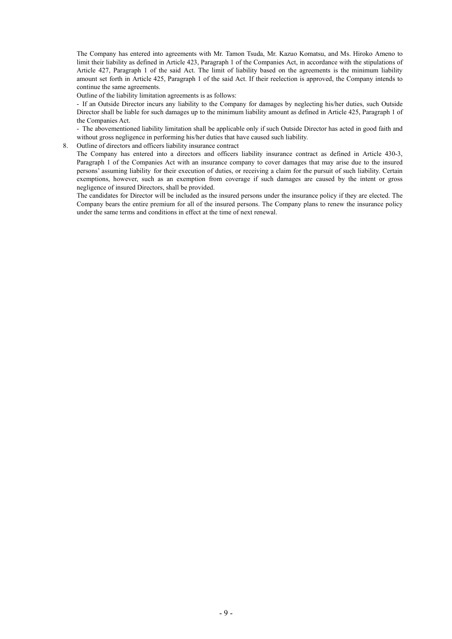The Company has entered into agreements with Mr. Tamon Tsuda, Mr. Kazuo Komatsu, and Ms. Hiroko Ameno to limit their liability as defined in Article 423, Paragraph 1 of the Companies Act, in accordance with the stipulations of Article 427, Paragraph 1 of the said Act. The limit of liability based on the agreements is the minimum liability amount set forth in Article 425, Paragraph 1 of the said Act. If their reelection is approved, the Company intends to continue the same agreements.

Outline of the liability limitation agreements is as follows:

- If an Outside Director incurs any liability to the Company for damages by neglecting his/her duties, such Outside Director shall be liable for such damages up to the minimum liability amount as defined in Article 425, Paragraph 1 of the Companies Act.

- The abovementioned liability limitation shall be applicable only if such Outside Director has acted in good faith and without gross negligence in performing his/her duties that have caused such liability.

8. Outline of directors and officers liability insurance contract

The Company has entered into a directors and officers liability insurance contract as defined in Article 430-3, Paragraph 1 of the Companies Act with an insurance company to cover damages that may arise due to the insured persons' assuming liability for their execution of duties, or receiving a claim for the pursuit of such liability. Certain exemptions, however, such as an exemption from coverage if such damages are caused by the intent or gross negligence of insured Directors, shall be provided.

The candidates for Director will be included as the insured persons under the insurance policy if they are elected. The Company bears the entire premium for all of the insured persons. The Company plans to renew the insurance policy under the same terms and conditions in effect at the time of next renewal.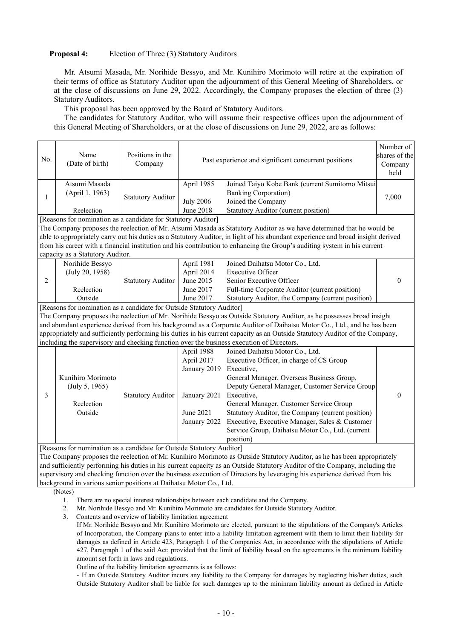# **Proposal 4:** Election of Three (3) Statutory Auditors

Mr. Atsumi Masada, Mr. Norihide Bessyo, and Mr. Kunihiro Morimoto will retire at the expiration of their terms of office as Statutory Auditor upon the adjournment of this General Meeting of Shareholders, or at the close of discussions on June 29, 2022. Accordingly, the Company proposes the election of three (3) Statutory Auditors.

This proposal has been approved by the Board of Statutory Auditors.

The candidates for Statutory Auditor, who will assume their respective offices upon the adjournment of this General Meeting of Shareholders, or at the close of discussions on June 29, 2022, are as follows:

| No. | Name<br>(Date of birth)                                                                                                                                                                                                                                                                                                                                                                                                                                                                                                                                 | Positions in the<br>Company | Past experience and significant concurrent positions                                  |                                                                                                                                                                                                                                                                                                                                                                                                                           | Number of<br>shares of the<br>Company<br>held |  |  |  |
|-----|---------------------------------------------------------------------------------------------------------------------------------------------------------------------------------------------------------------------------------------------------------------------------------------------------------------------------------------------------------------------------------------------------------------------------------------------------------------------------------------------------------------------------------------------------------|-----------------------------|---------------------------------------------------------------------------------------|---------------------------------------------------------------------------------------------------------------------------------------------------------------------------------------------------------------------------------------------------------------------------------------------------------------------------------------------------------------------------------------------------------------------------|-----------------------------------------------|--|--|--|
| 1   | Atsumi Masada<br>(April 1, 1963)<br>Reelection                                                                                                                                                                                                                                                                                                                                                                                                                                                                                                          | <b>Statutory Auditor</b>    | April 1985<br><b>July 2006</b><br>June 2018                                           | Joined Taiyo Kobe Bank (current Sumitomo Mitsui<br><b>Banking Corporation)</b><br>Joined the Company<br><b>Statutory Auditor (current position)</b>                                                                                                                                                                                                                                                                       | 7,000                                         |  |  |  |
|     | [Reasons for nomination as a candidate for Statutory Auditor]<br>The Company proposes the reelection of Mr. Atsumi Masada as Statutory Auditor as we have determined that he would be<br>able to appropriately carry out his duties as a Statutory Auditor, in light of his abundant experience and broad insight derived<br>from his career with a financial institution and his contribution to enhancing the Group's auditing system in his current<br>capacity as a Statutory Auditor.                                                              |                             |                                                                                       |                                                                                                                                                                                                                                                                                                                                                                                                                           |                                               |  |  |  |
| 2   | Norihide Bessyo<br>(July 20, 1958)<br>Reelection<br>Outside                                                                                                                                                                                                                                                                                                                                                                                                                                                                                             | <b>Statutory Auditor</b>    | April 1981<br>April 2014<br>June 2015<br>June 2017<br>June 2017                       | Joined Daihatsu Motor Co., Ltd.<br><b>Executive Officer</b><br>Senior Executive Officer<br>Full-time Corporate Auditor (current position)<br>Statutory Auditor, the Company (current position)                                                                                                                                                                                                                            | $\mathbf{0}$                                  |  |  |  |
|     | [Reasons for nomination as a candidate for Outside Statutory Auditor]<br>The Company proposes the reelection of Mr. Norihide Bessyo as Outside Statutory Auditor, as he possesses broad insight<br>and abundant experience derived from his background as a Corporate Auditor of Daihatsu Motor Co., Ltd., and he has been<br>appropriately and sufficiently performing his duties in his current capacity as an Outside Statutory Auditor of the Company,<br>including the supervisory and checking function over the business execution of Directors. |                             |                                                                                       |                                                                                                                                                                                                                                                                                                                                                                                                                           |                                               |  |  |  |
| 3   | Kunihiro Morimoto<br>(July 5, 1965)<br>Reelection<br>Outside                                                                                                                                                                                                                                                                                                                                                                                                                                                                                            | <b>Statutory Auditor</b>    | April 1988<br>April 2017<br>January 2019<br>January 2021<br>June 2021<br>January 2022 | Joined Daihatsu Motor Co., Ltd.<br>Executive Officer, in charge of CS Group<br>Executive,<br>General Manager, Overseas Business Group,<br>Deputy General Manager, Customer Service Group<br>Executive,<br>General Manager, Customer Service Group<br>Statutory Auditor, the Company (current position)<br>Executive, Executive Manager, Sales & Customer<br>Service Group, Daihatsu Motor Co., Ltd. (current<br>position) | $\boldsymbol{0}$                              |  |  |  |
|     | [Reasons for nomination as a candidate for Outside Statutory Auditor]<br>background in various senior positions at Daihatsu Motor Co., Ltd.                                                                                                                                                                                                                                                                                                                                                                                                             |                             |                                                                                       | The Company proposes the reelection of Mr. Kunihiro Morimoto as Outside Statutory Auditor, as he has been appropriately<br>and sufficiently performing his duties in his current capacity as an Outside Statutory Auditor of the Company, including the<br>supervisory and checking function over the business execution of Directors by leveraging his experience derived from his                                       |                                               |  |  |  |

- (Notes)
	- 1. There are no special interest relationships between each candidate and the Company.
	- 2. Mr. Norihide Bessyo and Mr. Kunihiro Morimoto are candidates for Outside Statutory Auditor.
	- 3. Contents and overview of liability limitation agreement

Outline of the liability limitation agreements is as follows:

- If an Outside Statutory Auditor incurs any liability to the Company for damages by neglecting his/her duties, such Outside Statutory Auditor shall be liable for such damages up to the minimum liability amount as defined in Article

If Mr. Norihide Bessyo and Mr. Kunihiro Morimoto are elected, pursuant to the stipulations of the Company's Articles of Incorporation, the Company plans to enter into a liability limitation agreement with them to limit their liability for damages as defined in Article 423, Paragraph 1 of the Companies Act, in accordance with the stipulations of Article 427, Paragraph 1 of the said Act; provided that the limit of liability based on the agreements is the minimum liability amount set forth in laws and regulations.